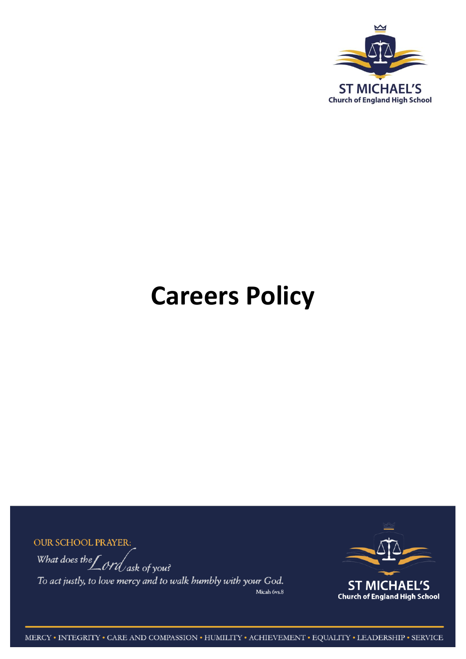

# **Careers Policy**

**OUR SCHOOL PRAYER:** What does the  $\int$  ord ask of you? To act justly, to love mercy and to walk humbly with your God. Micah 6vs.8



MERCY • INTEGRITY • CARE AND COMPASSION • HUMILITY • ACHIEVEMENT • EQUALITY • LEADERSHIP • SERVICE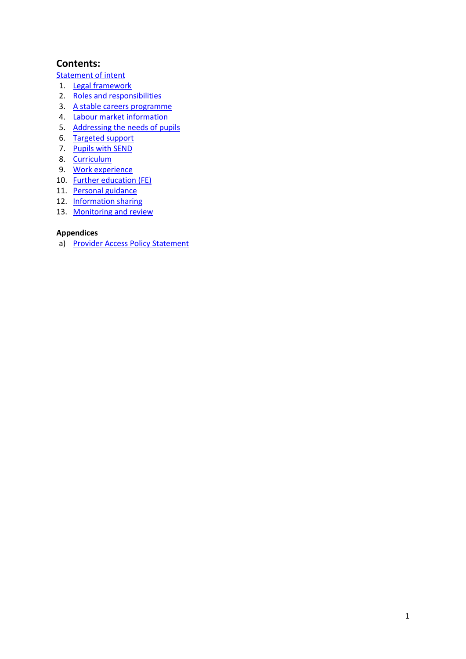# **Contents:**

[Statement of intent](#page-2-0)

- 1. [Legal framework](#page-3-0)
- 2. [Roles and responsibilities](#page-3-1)
- 3. [A stable careers programme](#page-5-0)
- 4. [Labour market information](#page-5-1)
- 5. [Addressing the needs of pupils](#page-6-0)
- 6. [Targeted support](#page-6-1)
- 7. [Pupils with SEND](#page-6-2)
- 8. [Curriculum](#page-7-0)
- 9. [Work experience](#page-8-0)
- 10. [Further education \(FE\)](#page-8-1)
- 11. [Personal guidance](#page-8-2)
- 12. [Information sharing](#page-9-0)
- 13. [Monitoring and review](#page-9-1)

#### **Appendices**

a) [Provider Access Policy Statement](#page-10-0)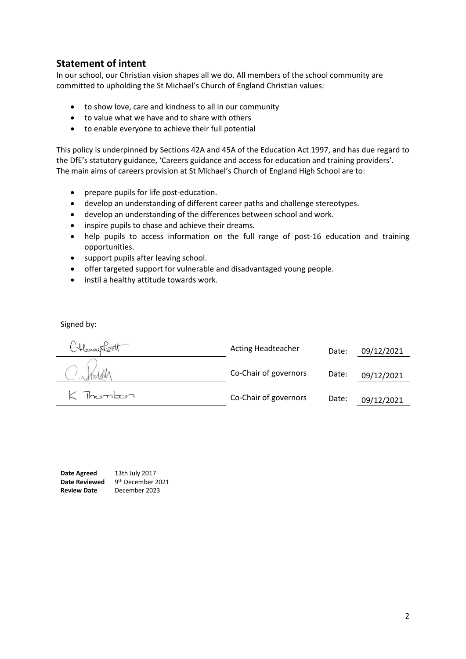# <span id="page-2-0"></span>**Statement of intent**

In our school, our Christian vision shapes all we do. All members of the school community are committed to upholding the St Michael's Church of England Christian values:

- to show love, care and kindness to all in our community
- to value what we have and to share with others
- to enable everyone to achieve their full potential

This policy is underpinned by Sections 42A and 45A of the Education Act 1997, and has due regard to the DfE's statutory guidance, 'Careers guidance and access for education and training providers'. The main aims of careers provision at St Michael's Church of England High School are to:

- prepare pupils for life post-education.
- develop an understanding of different career paths and challenge stereotypes.
- develop an understanding of the differences between school and work.
- inspire pupils to chase and achieve their dreams.
- help pupils to access information on the full range of post-16 education and training opportunities.
- support pupils after leaving school.
- offer targeted support for vulnerable and disadvantaged young people.
- instil a healthy attitude towards work.

Signed by:

Acting Headteacher Date: 09/12/2021 Co-Chair of governors Date: 09/12/2021  $K$  Thernbon Co-Chair of governors Date: 09/12/2021

**Date Agreed** 13th July 2017 Date Reviewed 9<sup>th</sup> December 2021 **Review Date** December 2023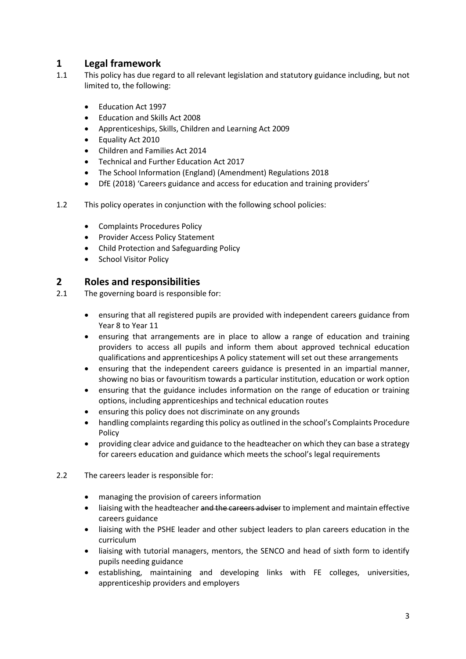# <span id="page-3-0"></span>**1 Legal framework**

- 1.1 This policy has due regard to all relevant legislation and statutory guidance including, but not limited to, the following:
	- Education Act 1997
	- Education and Skills Act 2008
	- Apprenticeships, Skills, Children and Learning Act 2009
	- Equality Act 2010
	- Children and Families Act 2014
	- Technical and Further Education Act 2017
	- The School Information (England) (Amendment) Regulations 2018
	- DfE (2018) 'Careers guidance and access for education and training providers'
- 1.2 This policy operates in conjunction with the following school policies:
	- Complaints Procedures Policy
	- Provider Access Policy Statement
	- Child Protection and Safeguarding Policy
	- School Visitor Policy

#### <span id="page-3-1"></span>**2 Roles and responsibilities**

- 2.1 The governing board is responsible for:
	- ensuring that all registered pupils are provided with independent careers guidance from Year 8 to Year 11
	- ensuring that arrangements are in place to allow a range of education and training providers to access all pupils and inform them about approved technical education qualifications and apprenticeships A policy statement will set out these arrangements
	- ensuring that the independent careers guidance is presented in an impartial manner, showing no bias or favouritism towards a particular institution, education or work option
	- ensuring that the guidance includes information on the range of education or training options, including apprenticeships and technical education routes
	- ensuring this policy does not discriminate on any grounds
	- handling complaints regarding this policy as outlined in the school's Complaints Procedure Policy
	- providing clear advice and guidance to the headteacher on which they can base a strategy for careers education and guidance which meets the school's legal requirements
- 2.2 The careers leader is responsible for:
	- managing the provision of careers information
	- liaising with the headteacher and the careers adviser to implement and maintain effective careers guidance
	- liaising with the PSHE leader and other subject leaders to plan careers education in the curriculum
	- liaising with tutorial managers, mentors, the SENCO and head of sixth form to identify pupils needing guidance
	- establishing, maintaining and developing links with FE colleges, universities, apprenticeship providers and employers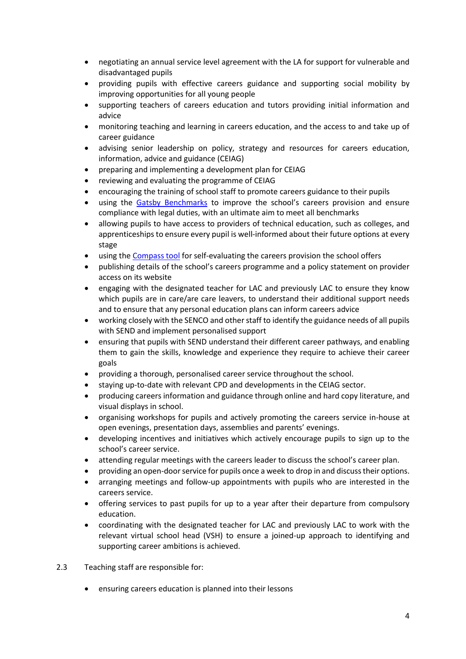- negotiating an annual service level agreement with the LA for support for vulnerable and disadvantaged pupils
- providing pupils with effective careers guidance and supporting social mobility by improving opportunities for all young people
- supporting teachers of careers education and tutors providing initial information and advice
- monitoring teaching and learning in careers education, and the access to and take up of career guidance
- advising senior leadership on policy, strategy and resources for careers education, information, advice and guidance (CEIAG)
- preparing and implementing a development plan for CEIAG
- reviewing and evaluating the programme of CEIAG
- encouraging the training of school staff to promote careers guidance to their pupils
- using the [Gatsby Benchmarks](http://www.gatsby.org.uk/education/focus-areas/good-career-guidance) to improve the school's careers provision and ensure compliance with legal duties, with an ultimate aim to meet all benchmarks
- allowing pupils to have access to providers of technical education, such as colleges, and apprenticeships to ensure every pupil is well-informed about their future options at every stage
- using th[e Compass tool](https://www.careersandenterprise.co.uk/schools-colleges/about-compass) for self-evaluating the careers provision the school offers
- publishing details of the school's careers programme and a policy statement on provider access on its website
- engaging with the designated teacher for LAC and previously LAC to ensure they know which pupils are in care/are care leavers, to understand their additional support needs and to ensure that any personal education plans can inform careers advice
- working closely with the SENCO and other staff to identify the guidance needs of all pupils with SEND and implement personalised support
- ensuring that pupils with SEND understand their different career pathways, and enabling them to gain the skills, knowledge and experience they require to achieve their career goals
- providing a thorough, personalised career service throughout the school.
- staying up-to-date with relevant CPD and developments in the CEIAG sector.
- producing careers information and guidance through online and hard copy literature, and visual displays in school.
- organising workshops for pupils and actively promoting the careers service in-house at open evenings, presentation days, assemblies and parents' evenings.
- developing incentives and initiatives which actively encourage pupils to sign up to the school's career service.
- attending regular meetings with the careers leader to discuss the school's career plan.
- providing an open-door service for pupils once a week to drop in and discuss their options.
- arranging meetings and follow-up appointments with pupils who are interested in the careers service.
- offering services to past pupils for up to a year after their departure from compulsory education.
- coordinating with the designated teacher for LAC and previously LAC to work with the relevant virtual school head (VSH) to ensure a joined-up approach to identifying and supporting career ambitions is achieved.
- 2.3 Teaching staff are responsible for:
	- ensuring careers education is planned into their lessons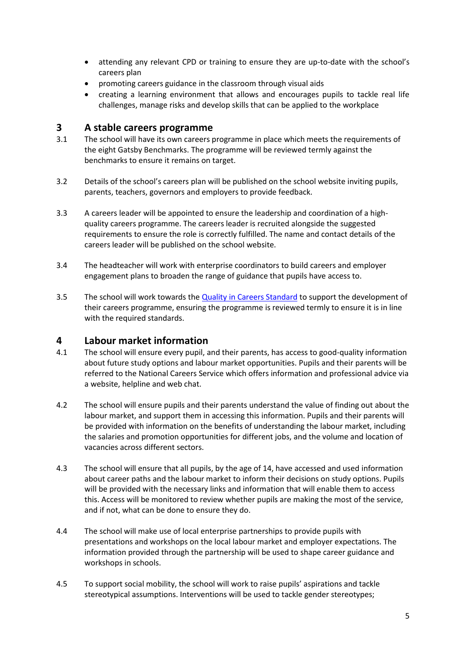- attending any relevant CPD or training to ensure they are up-to-date with the school's careers plan
- promoting careers guidance in the classroom through visual aids
- creating a learning environment that allows and encourages pupils to tackle real life challenges, manage risks and develop skills that can be applied to the workplace

#### <span id="page-5-0"></span>**3 A stable careers programme**

- 3.1 The school will have its own careers programme in place which meets the requirements of the eight Gatsby Benchmarks. The programme will be reviewed termly against the benchmarks to ensure it remains on target.
- 3.2 Details of the school's careers plan will be published on the school website inviting pupils, parents, teachers, governors and employers to provide feedback.
- 3.3 A careers leader will be appointed to ensure the leadership and coordination of a highquality careers programme. The careers leader is recruited alongside the suggested requirements to ensure the role is correctly fulfilled. The name and contact details of the careers leader will be published on the school website.
- 3.4 The headteacher will work with enterprise coordinators to build careers and employer engagement plans to broaden the range of guidance that pupils have access to.
- 3.5 The school will work towards the [Quality in Careers Standard](http://www.qualityincareers.org.uk/) to support the development of their careers programme, ensuring the programme is reviewed termly to ensure it is in line with the required standards.

#### <span id="page-5-1"></span>**4 Labour market information**

- 4.1 The school will ensure every pupil, and their parents, has access to good-quality information about future study options and labour market opportunities. Pupils and their parents will be referred to the National Careers Service which offers information and professional advice via a website, helpline and web chat.
- 4.2 The school will ensure pupils and their parents understand the value of finding out about the labour market, and support them in accessing this information. Pupils and their parents will be provided with information on the benefits of understanding the labour market, including the salaries and promotion opportunities for different jobs, and the volume and location of vacancies across different sectors.
- 4.3 The school will ensure that all pupils, by the age of 14, have accessed and used information about career paths and the labour market to inform their decisions on study options. Pupils will be provided with the necessary links and information that will enable them to access this. Access will be monitored to review whether pupils are making the most of the service, and if not, what can be done to ensure they do.
- 4.4 The school will make use of local enterprise partnerships to provide pupils with presentations and workshops on the local labour market and employer expectations. The information provided through the partnership will be used to shape career guidance and workshops in schools.
- 4.5 To support social mobility, the school will work to raise pupils' aspirations and tackle stereotypical assumptions. Interventions will be used to tackle gender stereotypes;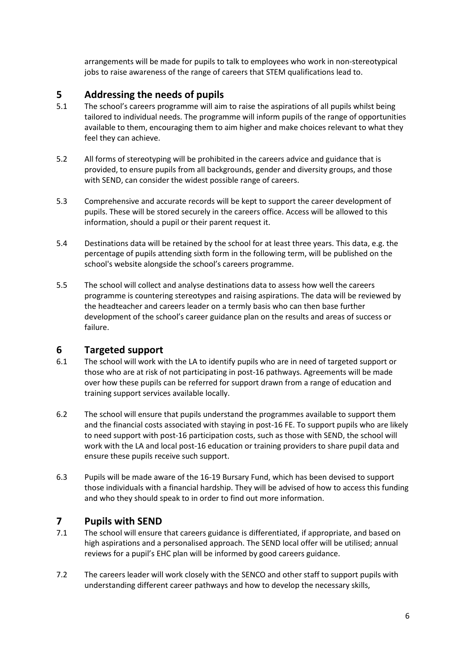arrangements will be made for pupils to talk to employees who work in non-stereotypical jobs to raise awareness of the range of careers that STEM qualifications lead to.

# <span id="page-6-0"></span>**5 Addressing the needs of pupils**

- 5.1 The school's careers programme will aim to raise the aspirations of all pupils whilst being tailored to individual needs. The programme will inform pupils of the range of opportunities available to them, encouraging them to aim higher and make choices relevant to what they feel they can achieve.
- 5.2 All forms of stereotyping will be prohibited in the careers advice and guidance that is provided, to ensure pupils from all backgrounds, gender and diversity groups, and those with SEND, can consider the widest possible range of careers.
- 5.3 Comprehensive and accurate records will be kept to support the career development of pupils. These will be stored securely in the careers office. Access will be allowed to this information, should a pupil or their parent request it.
- 5.4 Destinations data will be retained by the school for at least three years. This data, e.g. the percentage of pupils attending sixth form in the following term, will be published on the school's website alongside the school's careers programme.
- 5.5 The school will collect and analyse destinations data to assess how well the careers programme is countering stereotypes and raising aspirations. The data will be reviewed by the headteacher and careers leader on a termly basis who can then base further development of the school's career guidance plan on the results and areas of success or failure.

# <span id="page-6-1"></span>**6 Targeted support**<br>**6.1** The school will work wi

- The school will work with the LA to identify pupils who are in need of targeted support or those who are at risk of not participating in post-16 pathways. Agreements will be made over how these pupils can be referred for support drawn from a range of education and training support services available locally.
- 6.2 The school will ensure that pupils understand the programmes available to support them and the financial costs associated with staying in post-16 FE. To support pupils who are likely to need support with post-16 participation costs, such as those with SEND, the school will work with the LA and local post-16 education or training providers to share pupil data and ensure these pupils receive such support.
- 6.3 Pupils will be made aware of the 16-19 Bursary Fund, which has been devised to support those individuals with a financial hardship. They will be advised of how to access this funding and who they should speak to in order to find out more information.

# <span id="page-6-2"></span>**7 Pupils with SEND**

- 7.1 The school will ensure that careers guidance is differentiated, if appropriate, and based on high aspirations and a personalised approach. The SEND local offer will be utilised; annual reviews for a pupil's EHC plan will be informed by good careers guidance.
- 7.2 The careers leader will work closely with the SENCO and other staff to support pupils with understanding different career pathways and how to develop the necessary skills,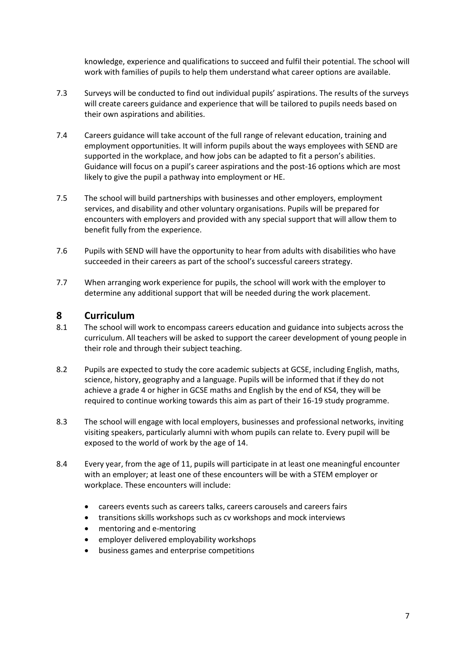knowledge, experience and qualifications to succeed and fulfil their potential. The school will work with families of pupils to help them understand what career options are available.

- 7.3 Surveys will be conducted to find out individual pupils' aspirations. The results of the surveys will create careers guidance and experience that will be tailored to pupils needs based on their own aspirations and abilities.
- 7.4 Careers guidance will take account of the full range of relevant education, training and employment opportunities. It will inform pupils about the ways employees with SEND are supported in the workplace, and how jobs can be adapted to fit a person's abilities. Guidance will focus on a pupil's career aspirations and the post-16 options which are most likely to give the pupil a pathway into employment or HE.
- 7.5 The school will build partnerships with businesses and other employers, employment services, and disability and other voluntary organisations. Pupils will be prepared for encounters with employers and provided with any special support that will allow them to benefit fully from the experience.
- 7.6 Pupils with SEND will have the opportunity to hear from adults with disabilities who have succeeded in their careers as part of the school's successful careers strategy.
- 7.7 When arranging work experience for pupils, the school will work with the employer to determine any additional support that will be needed during the work placement.

#### <span id="page-7-0"></span>**8 Curriculum**

- 8.1 The school will work to encompass careers education and guidance into subjects across the curriculum. All teachers will be asked to support the career development of young people in their role and through their subject teaching.
- 8.2 Pupils are expected to study the core academic subjects at GCSE, including English, maths, science, history, geography and a language. Pupils will be informed that if they do not achieve a grade 4 or higher in GCSE maths and English by the end of KS4, they will be required to continue working towards this aim as part of their 16-19 study programme.
- 8.3 The school will engage with local employers, businesses and professional networks, inviting visiting speakers, particularly alumni with whom pupils can relate to. Every pupil will be exposed to the world of work by the age of 14.
- 8.4 Every year, from the age of 11, pupils will participate in at least one meaningful encounter with an employer; at least one of these encounters will be with a STEM employer or workplace. These encounters will include:
	- careers events such as careers talks, careers carousels and careers fairs
	- transitions skills workshops such as cv workshops and mock interviews
	- mentoring and e-mentoring
	- employer delivered employability workshops
	- business games and enterprise competitions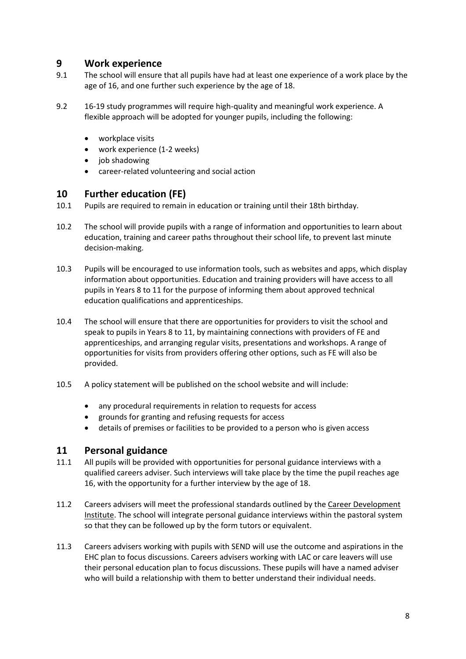### <span id="page-8-0"></span>**9 Work experience**

- 9.1 The school will ensure that all pupils have had at least one experience of a work place by the age of 16, and one further such experience by the age of 18.
- 9.2 16-19 study programmes will require high-quality and meaningful work experience. A flexible approach will be adopted for younger pupils, including the following:
	- workplace visits
	- work experience (1-2 weeks)
	- $\bullet$  job shadowing
	- career-related volunteering and social action

#### <span id="page-8-1"></span>**10 Further education (FE)**

- 10.1 Pupils are required to remain in education or training until their 18th birthday.
- 10.2 The school will provide pupils with a range of information and opportunities to learn about education, training and career paths throughout their school life, to prevent last minute decision-making.
- 10.3 Pupils will be encouraged to use information tools, such as websites and apps, which display information about opportunities. Education and training providers will have access to all pupils in Years 8 to 11 for the purpose of informing them about approved technical education qualifications and apprenticeships.
- 10.4 The school will ensure that there are opportunities for providers to visit the school and speak to pupils in Years 8 to 11, by maintaining connections with providers of FE and apprenticeships, and arranging regular visits, presentations and workshops. A range of opportunities for visits from providers offering other options, such as FE will also be provided.
- 10.5 A policy statement will be published on the school website and will include:
	- any procedural requirements in relation to requests for access
	- grounds for granting and refusing requests for access
	- details of premises or facilities to be provided to a person who is given access

#### <span id="page-8-2"></span>**11 Personal guidance**

- 11.1 All pupils will be provided with opportunities for personal guidance interviews with a qualified careers adviser. Such interviews will take place by the time the pupil reaches age 16, with the opportunity for a further interview by the age of 18.
- 11.2 Careers advisers will meet the professional standards outlined by the [Career Development](http://www.thecdi.net/Professional-Register-)  [Institute.](http://www.thecdi.net/Professional-Register-) The school will integrate personal guidance interviews within the pastoral system so that they can be followed up by the form tutors or equivalent.
- 11.3 Careers advisers working with pupils with SEND will use the outcome and aspirations in the EHC plan to focus discussions. Careers advisers working with LAC or care leavers will use their personal education plan to focus discussions. These pupils will have a named adviser who will build a relationship with them to better understand their individual needs.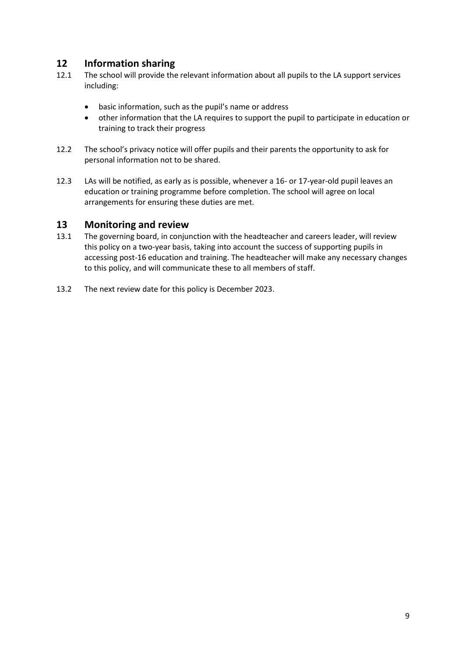# <span id="page-9-0"></span>**12 Information sharing**

- 12.1 The school will provide the relevant information about all pupils to the LA support services including:
	- basic information, such as the pupil's name or address
	- other information that the LA requires to support the pupil to participate in education or training to track their progress
- 12.2 The school's privacy notice will offer pupils and their parents the opportunity to ask for personal information not to be shared.
- 12.3 LAs will be notified, as early as is possible, whenever a 16- or 17-year-old pupil leaves an education or training programme before completion. The school will agree on local arrangements for ensuring these duties are met.

#### <span id="page-9-1"></span>**13 Monitoring and review**

- 13.1 The governing board, in conjunction with the headteacher and careers leader, will review this policy on a two-year basis, taking into account the success of supporting pupils in accessing post-16 education and training. The headteacher will make any necessary changes to this policy, and will communicate these to all members of staff.
- 13.2 The next review date for this policy is December 2023.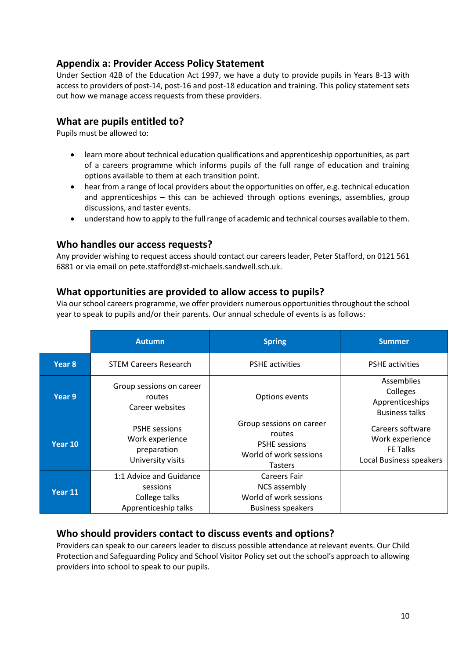# <span id="page-10-0"></span>**Appendix a: Provider Access Policy Statement**

Under Section 42B of the Education Act 1997, we have a duty to provide pupils in Years 8-13 with access to providers of post-14, post-16 and post-18 education and training. This policy statement sets out how we manage access requests from these providers.

# **What are pupils entitled to?**

Pupils must be allowed to:

- learn more about technical education qualifications and apprenticeship opportunities, as part of a careers programme which informs pupils of the full range of education and training options available to them at each transition point.
- hear from a range of local providers about the opportunities on offer, e.g. technical education and apprenticeships – this can be achieved through options evenings, assemblies, group discussions, and taster events.
- understand how to apply to the full range of academic and technical courses available to them.

#### **Who handles our access requests?**

Any provider wishing to request access should contact our careers leader, Peter Stafford, on 0121 561 6881 or via email on pete.stafford@st-michaels.sandwell.sch.uk.

#### **What opportunities are provided to allow access to pupils?**

Via our school careers programme, we offer providers numerous opportunities throughout the school year to speak to pupils and/or their parents. Our annual schedule of events is as follows:

|                   | <b>Autumn</b>                                                                | <b>Spring</b>                                                                                          | <b>Summer</b>                                                                     |
|-------------------|------------------------------------------------------------------------------|--------------------------------------------------------------------------------------------------------|-----------------------------------------------------------------------------------|
| Year <sub>8</sub> | <b>STEM Careers Research</b>                                                 | <b>PSHE</b> activities                                                                                 | <b>PSHE</b> activities                                                            |
| Year 9            | Group sessions on career<br>routes<br>Career websites                        | Options events                                                                                         | Assemblies<br>Colleges<br>Apprenticeships<br><b>Business talks</b>                |
| Year 10           | <b>PSHE</b> sessions<br>Work experience<br>preparation<br>University visits  | Group sessions on career<br>routes<br><b>PSHE</b> sessions<br>World of work sessions<br><b>Tasters</b> | Careers software<br>Work experience<br><b>FE Talks</b><br>Local Business speakers |
| Year 11           | 1:1 Advice and Guidance<br>sessions<br>College talks<br>Apprenticeship talks | Careers Fair<br>NCS assembly<br>World of work sessions<br><b>Business speakers</b>                     |                                                                                   |

# **Who should providers contact to discuss events and options?**

Providers can speak to our careers leader to discuss possible attendance at relevant events. Our Child Protection and Safeguarding Policy and School Visitor Policy set out the school's approach to allowing providers into school to speak to our pupils.